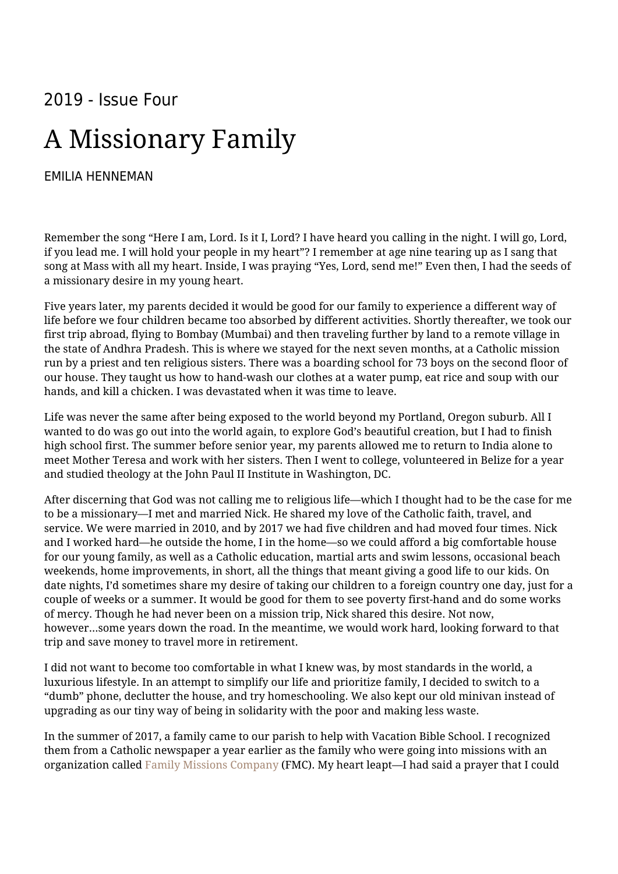## 2019 - Issue Four

## A Missionary Family

## [EMILIA HENNEMAN](https://humanumreview.com/contributors/emilia-henneman-2)

Remember the song "Here I am, Lord. Is it I, Lord? I have heard you calling in the night. I will go, Lord, if you lead me. I will hold your people in my heart"? I remember at age nine tearing up as I sang that song at Mass with all my heart. Inside, I was praying "Yes, Lord, send me!" Even then, I had the seeds of a missionary desire in my young heart.

Five years later, my parents decided it would be good for our family to experience a different way of life before we four children became too absorbed by different activities. Shortly thereafter, we took our first trip abroad, flying to Bombay (Mumbai) and then traveling further by land to a remote village in the state of Andhra Pradesh. This is where we stayed for the next seven months, at a Catholic mission run by a priest and ten religious sisters. There was a boarding school for 73 boys on the second floor of our house. They taught us how to hand-wash our clothes at a water pump, eat rice and soup with our hands, and kill a chicken. I was devastated when it was time to leave.

Life was never the same after being exposed to the world beyond my Portland, Oregon suburb. All I wanted to do was go out into the world again, to explore God's beautiful creation, but I had to finish high school first. The summer before senior year, my parents allowed me to return to India alone to meet Mother Teresa and work with her sisters. Then I went to college, volunteered in Belize for a year and studied theology at the John Paul II Institute in Washington, DC.

After discerning that God was not calling me to religious life—which I thought had to be the case for me to be a missionary—I met and married Nick. He shared my love of the Catholic faith, travel, and service. We were married in 2010, and by 2017 we had five children and had moved four times. Nick and I worked hard—he outside the home, I in the home—so we could afford a big comfortable house for our young family, as well as a Catholic education, martial arts and swim lessons, occasional beach weekends, home improvements, in short, all the things that meant giving a good life to our kids. On date nights, I'd sometimes share my desire of taking our children to a foreign country one day, just for a couple of weeks or a summer. It would be good for them to see poverty first-hand and do some works of mercy. Though he had never been on a mission trip, Nick shared this desire. Not now, however…some years down the road. In the meantime, we would work hard, looking forward to that trip and save money to travel more in retirement.

I did not want to become too comfortable in what I knew was, by most standards in the world, a luxurious lifestyle. In an attempt to simplify our life and prioritize family, I decided to switch to a "dumb" phone, declutter the house, and try homeschooling. We also kept our old minivan instead of upgrading as our tiny way of being in solidarity with the poor and making less waste.

In the summer of 2017, a family came to our parish to help with Vacation Bible School. I recognized them from a Catholic newspaper a year earlier as the family who were going into missions with an organization called [Family Missions Company](https://www.familymissionscompany.com/) (FMC). My heart leapt—I had said a prayer that I could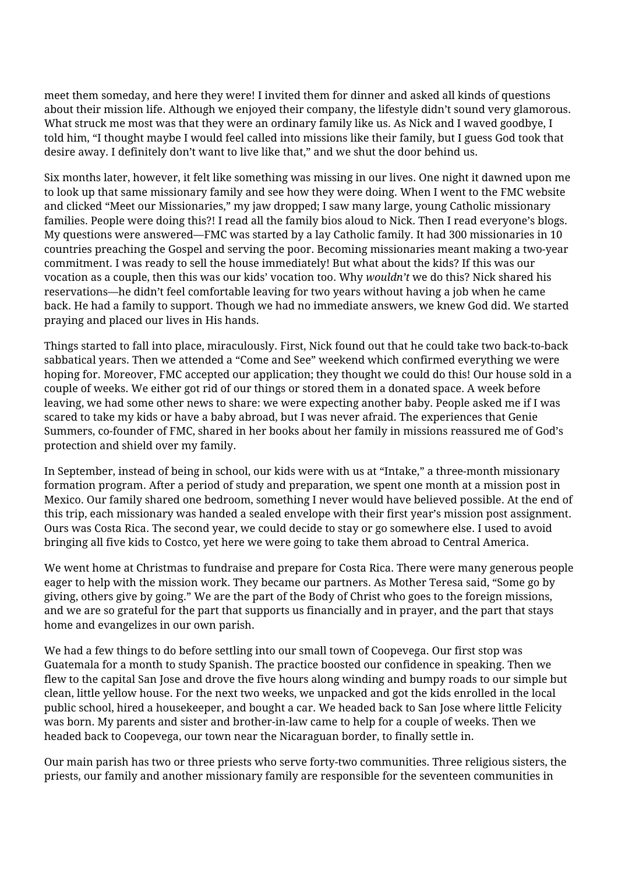meet them someday, and here they were! I invited them for dinner and asked all kinds of questions about their mission life. Although we enjoyed their company, the lifestyle didn't sound very glamorous. What struck me most was that they were an ordinary family like us. As Nick and I waved goodbye, I told him, "I thought maybe I would feel called into missions like their family, but I guess God took that desire away. I definitely don't want to live like that," and we shut the door behind us.

Six months later, however, it felt like something was missing in our lives. One night it dawned upon me to look up that same missionary family and see how they were doing. When I went to the FMC website and clicked "Meet our Missionaries," my jaw dropped; I saw many large, young Catholic missionary families. People were doing this?! I read all the family bios aloud to Nick. Then I read everyone's blogs. My questions were answered—FMC was started by a lay Catholic family. It had 300 missionaries in 10 countries preaching the Gospel and serving the poor. Becoming missionaries meant making a two-year commitment. I was ready to sell the house immediately! But what about the kids? If this was our vocation as a couple, then this was our kids' vocation too. Why *wouldn't* we do this? Nick shared his reservations—he didn't feel comfortable leaving for two years without having a job when he came back. He had a family to support. Though we had no immediate answers, we knew God did. We started praying and placed our lives in His hands.

Things started to fall into place, miraculously. First, Nick found out that he could take two back-to-back sabbatical years. Then we attended a "Come and See" weekend which confirmed everything we were hoping for. Moreover, FMC accepted our application; they thought we could do this! Our house sold in a couple of weeks. We either got rid of our things or stored them in a donated space. A week before leaving, we had some other news to share: we were expecting another baby. People asked me if I was scared to take my kids or have a baby abroad, but I was never afraid. The experiences that Genie Summers, co-founder of FMC, shared in her books about her family in missions reassured me of God's protection and shield over my family.

In September, instead of being in school, our kids were with us at "Intake," a three-month missionary formation program. After a period of study and preparation, we spent one month at a mission post in Mexico. Our family shared one bedroom, something I never would have believed possible. At the end of this trip, each missionary was handed a sealed envelope with their first year's mission post assignment. Ours was Costa Rica. The second year, we could decide to stay or go somewhere else. I used to avoid bringing all five kids to Costco, yet here we were going to take them abroad to Central America.

We went home at Christmas to fundraise and prepare for Costa Rica. There were many generous people eager to help with the mission work. They became our partners. As Mother Teresa said, "Some go by giving, others give by going." We are the part of the Body of Christ who goes to the foreign missions, and we are so grateful for the part that supports us financially and in prayer, and the part that stays home and evangelizes in our own parish.

We had a few things to do before settling into our small town of Coopevega. Our first stop was Guatemala for a month to study Spanish. The practice boosted our confidence in speaking. Then we flew to the capital San Jose and drove the five hours along winding and bumpy roads to our simple but clean, little yellow house. For the next two weeks, we unpacked and got the kids enrolled in the local public school, hired a housekeeper, and bought a car. We headed back to San Jose where little Felicity was born. My parents and sister and brother-in-law came to help for a couple of weeks. Then we headed back to Coopevega, our town near the Nicaraguan border, to finally settle in.

Our main parish has two or three priests who serve forty-two communities. Three religious sisters, the priests, our family and another missionary family are responsible for the seventeen communities in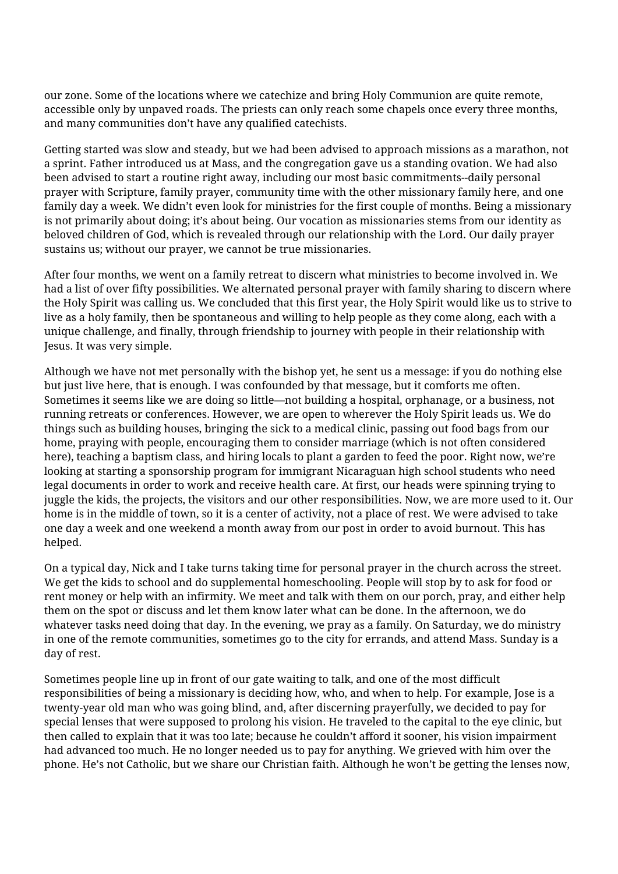our zone. Some of the locations where we catechize and bring Holy Communion are quite remote, accessible only by unpaved roads. The priests can only reach some chapels once every three months, and many communities don't have any qualified catechists.

Getting started was slow and steady, but we had been advised to approach missions as a marathon, not a sprint. Father introduced us at Mass, and the congregation gave us a standing ovation. We had also been advised to start a routine right away, including our most basic commitments--daily personal prayer with Scripture, family prayer, community time with the other missionary family here, and one family day a week. We didn't even look for ministries for the first couple of months. Being a missionary is not primarily about doing; it's about being. Our vocation as missionaries stems from our identity as beloved children of God, which is revealed through our relationship with the Lord. Our daily prayer sustains us; without our prayer, we cannot be true missionaries.

After four months, we went on a family retreat to discern what ministries to become involved in. We had a list of over fifty possibilities. We alternated personal prayer with family sharing to discern where the Holy Spirit was calling us. We concluded that this first year, the Holy Spirit would like us to strive to live as a holy family, then be spontaneous and willing to help people as they come along, each with a unique challenge, and finally, through friendship to journey with people in their relationship with Jesus. It was very simple.

Although we have not met personally with the bishop yet, he sent us a message: if you do nothing else but just live here, that is enough. I was confounded by that message, but it comforts me often. Sometimes it seems like we are doing so little—not building a hospital, orphanage, or a business, not running retreats or conferences. However, we are open to wherever the Holy Spirit leads us. We do things such as building houses, bringing the sick to a medical clinic, passing out food bags from our home, praying with people, encouraging them to consider marriage (which is not often considered here), teaching a baptism class, and hiring locals to plant a garden to feed the poor. Right now, we're looking at starting a sponsorship program for immigrant Nicaraguan high school students who need legal documents in order to work and receive health care. At first, our heads were spinning trying to juggle the kids, the projects, the visitors and our other responsibilities. Now, we are more used to it. Our home is in the middle of town, so it is a center of activity, not a place of rest. We were advised to take one day a week and one weekend a month away from our post in order to avoid burnout. This has helped.

On a typical day, Nick and I take turns taking time for personal prayer in the church across the street. We get the kids to school and do supplemental homeschooling. People will stop by to ask for food or rent money or help with an infirmity. We meet and talk with them on our porch, pray, and either help them on the spot or discuss and let them know later what can be done. In the afternoon, we do whatever tasks need doing that day. In the evening, we pray as a family. On Saturday, we do ministry in one of the remote communities, sometimes go to the city for errands, and attend Mass. Sunday is a day of rest.

Sometimes people line up in front of our gate waiting to talk, and one of the most difficult responsibilities of being a missionary is deciding how, who, and when to help. For example, Jose is a twenty-year old man who was going blind, and, after discerning prayerfully, we decided to pay for special lenses that were supposed to prolong his vision. He traveled to the capital to the eye clinic, but then called to explain that it was too late; because he couldn't afford it sooner, his vision impairment had advanced too much. He no longer needed us to pay for anything. We grieved with him over the phone. He's not Catholic, but we share our Christian faith. Although he won't be getting the lenses now,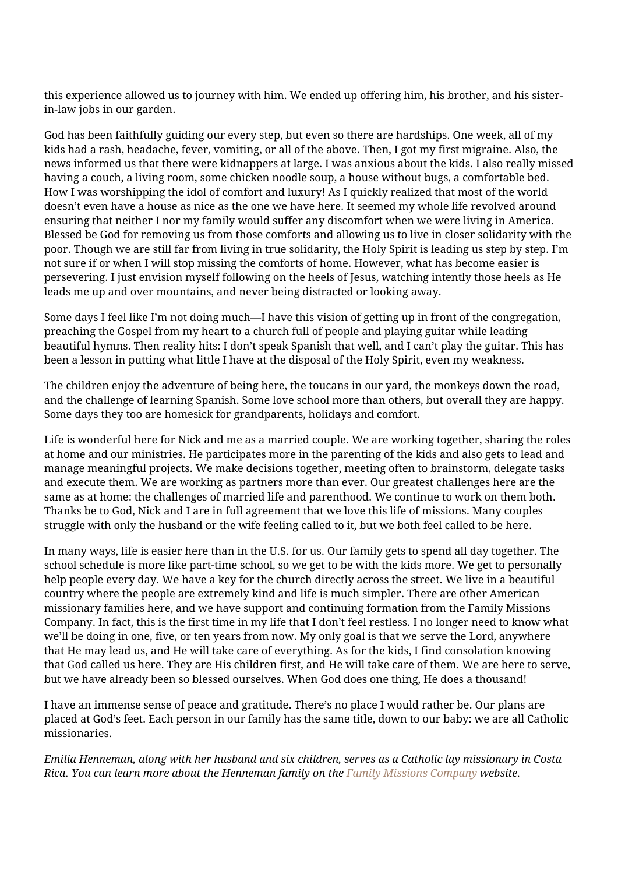this experience allowed us to journey with him. We ended up offering him, his brother, and his sisterin-law jobs in our garden.

God has been faithfully guiding our every step, but even so there are hardships. One week, all of my kids had a rash, headache, fever, vomiting, or all of the above. Then, I got my first migraine. Also, the news informed us that there were kidnappers at large. I was anxious about the kids. I also really missed having a couch, a living room, some chicken noodle soup, a house without bugs, a comfortable bed. How I was worshipping the idol of comfort and luxury! As I quickly realized that most of the world doesn't even have a house as nice as the one we have here. It seemed my whole life revolved around ensuring that neither I nor my family would suffer any discomfort when we were living in America. Blessed be God for removing us from those comforts and allowing us to live in closer solidarity with the poor. Though we are still far from living in true solidarity, the Holy Spirit is leading us step by step. I'm not sure if or when I will stop missing the comforts of home. However, what has become easier is persevering. I just envision myself following on the heels of Jesus, watching intently those heels as He leads me up and over mountains, and never being distracted or looking away.

Some days I feel like I'm not doing much—I have this vision of getting up in front of the congregation, preaching the Gospel from my heart to a church full of people and playing guitar while leading beautiful hymns. Then reality hits: I don't speak Spanish that well, and I can't play the guitar. This has been a lesson in putting what little I have at the disposal of the Holy Spirit, even my weakness.

The children enjoy the adventure of being here, the toucans in our yard, the monkeys down the road, and the challenge of learning Spanish. Some love school more than others, but overall they are happy. Some days they too are homesick for grandparents, holidays and comfort.

Life is wonderful here for Nick and me as a married couple. We are working together, sharing the roles at home and our ministries. He participates more in the parenting of the kids and also gets to lead and manage meaningful projects. We make decisions together, meeting often to brainstorm, delegate tasks and execute them. We are working as partners more than ever. Our greatest challenges here are the same as at home: the challenges of married life and parenthood. We continue to work on them both. Thanks be to God, Nick and I are in full agreement that we love this life of missions. Many couples struggle with only the husband or the wife feeling called to it, but we both feel called to be here.

In many ways, life is easier here than in the U.S. for us. Our family gets to spend all day together. The school schedule is more like part-time school, so we get to be with the kids more. We get to personally help people every day. We have a key for the church directly across the street. We live in a beautiful country where the people are extremely kind and life is much simpler. There are other American missionary families here, and we have support and continuing formation from the Family Missions Company. In fact, this is the first time in my life that I don't feel restless. I no longer need to know what we'll be doing in one, five, or ten years from now. My only goal is that we serve the Lord, anywhere that He may lead us, and He will take care of everything. As for the kids, I find consolation knowing that God called us here. They are His children first, and He will take care of them. We are here to serve, but we have already been so blessed ourselves. When God does one thing, He does a thousand!

I have an immense sense of peace and gratitude. There's no place I would rather be. Our plans are placed at God's feet. Each person in our family has the same title, down to our baby: we are all Catholic missionaries.

*Emilia Henneman, along with her husband and six children, serves as a Catholic lay missionary in Costa Rica. You can learn more about the Henneman family on the [Family Missions Company](https://www.familymissionscompany.com/project/nmhennemann/) website.*